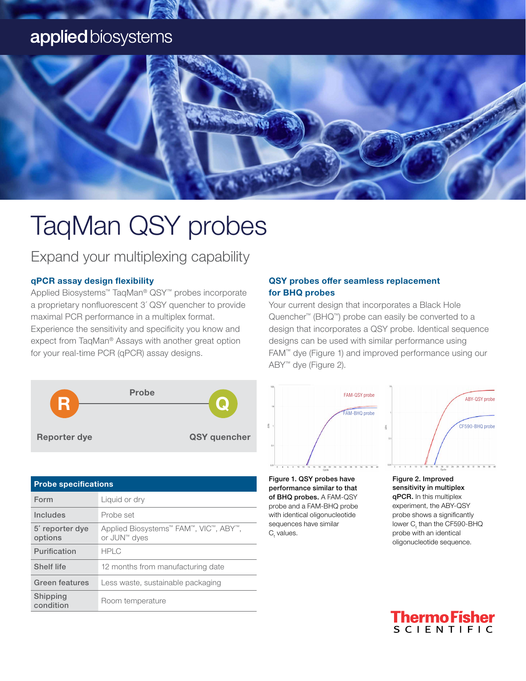### applied biosystems



## TaqMan QSY probes

Expand your multiplexing capability

#### qPCR assay design flexibility

Applied Biosystems™ TaqMan® QSY™ probes incorporate a proprietary nonfluorescent 3´ QSY quencher to provide maximal PCR performance in a multiplex format. Experience the sensitivity and specificity you know and expect from TaqMan® Assays with another great option for your real-time PCR (qPCR) assay designs.



| <b>Probe specifications</b> |                                                       |  |  |
|-----------------------------|-------------------------------------------------------|--|--|
| Form                        | Liquid or dry                                         |  |  |
| <b>Includes</b>             | Probe set                                             |  |  |
| 5' reporter dye<br>options  | Applied Biosystems™ FAM™, VIC™, ABY™,<br>or JUN™ dyes |  |  |
| Purification                | <b>HPLC</b>                                           |  |  |
| <b>Shelf life</b>           | 12 months from manufacturing date                     |  |  |
| Green features              | Less waste, sustainable packaging                     |  |  |
| Shipping<br>condition       | Room temperature                                      |  |  |

#### QSY probes offer seamless replacement for BHQ probes

Your current design that incorporates a Black Hole Quencher™ (BHQ™) probe can easily be converted to a design that incorporates a QSY probe. Identical sequence designs can be used with similar performance using FAM™ dye (Figure 1) and improved performance using our ABY™ dye (Figure 2).



Figure 1. QSY probes have performance similar to that of BHQ probes. A FAM-QSY probe and a FAM-BHQ probe with identical oligonucleotide sequences have similar  $\mathtt{C}_{\!\scriptscriptstyle (\!\chi\!)}$  values.



qPCR. In this multiplex experiment, the ABY-QSY probe shows a significantly lower  $\mathsf{C}_\mathsf{t}$  than the CF590-BHQ probe with an identical oligonucleotide sequence.